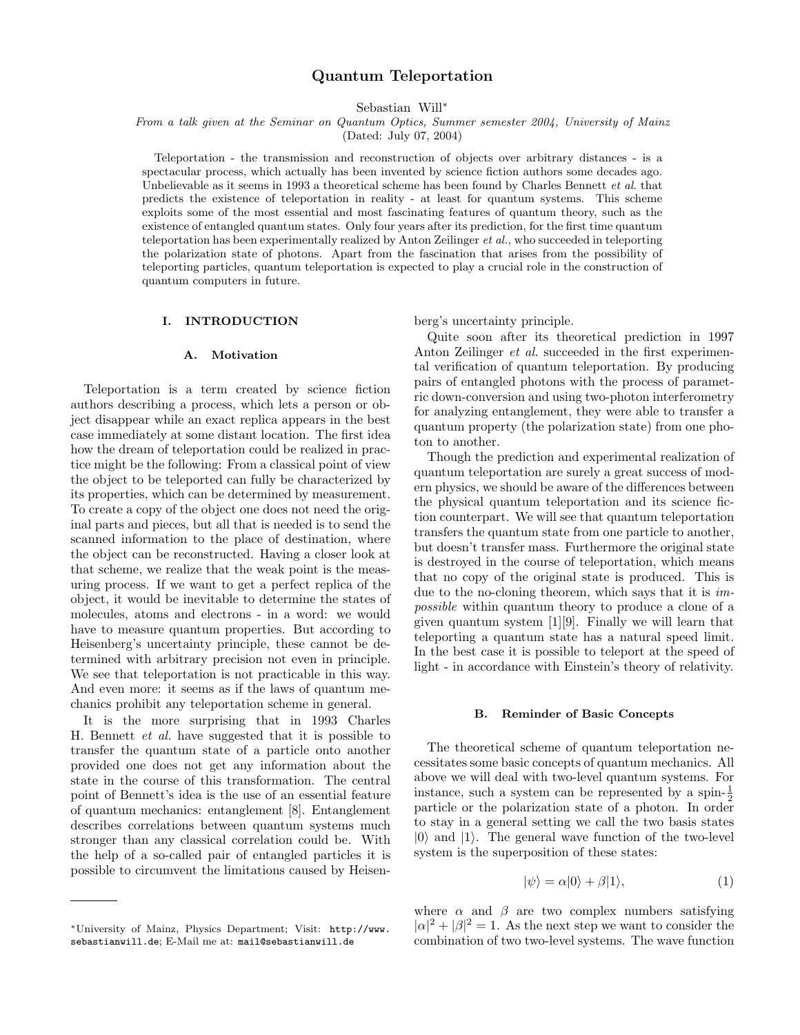# Quantum Teleportation

Sebastian Will<sup>∗</sup>

From a talk given at the Seminar on Quantum Optics, Summer semester 2004, University of Mainz

(Dated: July 07, 2004)

Teleportation - the transmission and reconstruction of objects over arbitrary distances - is a spectacular process, which actually has been invented by science fiction authors some decades ago. Unbelievable as it seems in 1993 a theoretical scheme has been found by Charles Bennett et al. that predicts the existence of teleportation in reality - at least for quantum systems. This scheme exploits some of the most essential and most fascinating features of quantum theory, such as the existence of entangled quantum states. Only four years after its prediction, for the first time quantum teleportation has been experimentally realized by Anton Zeilinger et al., who succeeded in teleporting the polarization state of photons. Apart from the fascination that arises from the possibility of teleporting particles, quantum teleportation is expected to play a crucial role in the construction of quantum computers in future.

# I. INTRODUCTION

#### A. Motivation

Teleportation is a term created by science fiction authors describing a process, which lets a person or object disappear while an exact replica appears in the best case immediately at some distant location. The first idea how the dream of teleportation could be realized in practice might be the following: From a classical point of view the object to be teleported can fully be characterized by its properties, which can be determined by measurement. To create a copy of the object one does not need the original parts and pieces, but all that is needed is to send the scanned information to the place of destination, where the object can be reconstructed. Having a closer look at that scheme, we realize that the weak point is the measuring process. If we want to get a perfect replica of the object, it would be inevitable to determine the states of molecules, atoms and electrons - in a word: we would have to measure quantum properties. But according to Heisenberg's uncertainty principle, these cannot be determined with arbitrary precision not even in principle. We see that teleportation is not practicable in this way. And even more: it seems as if the laws of quantum mechanics prohibit any teleportation scheme in general.

It is the more surprising that in 1993 Charles H. Bennett et al. have suggested that it is possible to transfer the quantum state of a particle onto another provided one does not get any information about the state in the course of this transformation. The central point of Bennett's idea is the use of an essential feature of quantum mechanics: entanglement [8]. Entanglement describes correlations between quantum systems much stronger than any classical correlation could be. With the help of a so-called pair of entangled particles it is possible to circumvent the limitations caused by Heisenberg's uncertainty principle.

Quite soon after its theoretical prediction in 1997 Anton Zeilinger et al. succeeded in the first experimental verification of quantum teleportation. By producing pairs of entangled photons with the process of parametric down-conversion and using two-photon interferometry for analyzing entanglement, they were able to transfer a quantum property (the polarization state) from one photon to another.

Though the prediction and experimental realization of quantum teleportation are surely a great success of modern physics, we should be aware of the differences between the physical quantum teleportation and its science fiction counterpart. We will see that quantum teleportation transfers the quantum state from one particle to another, but doesn't transfer mass. Furthermore the original state is destroyed in the course of teleportation, which means that no copy of the original state is produced. This is due to the no-cloning theorem, which says that it is *im*possible within quantum theory to produce a clone of a given quantum system [1][9]. Finally we will learn that teleporting a quantum state has a natural speed limit. In the best case it is possible to teleport at the speed of light - in accordance with Einstein's theory of relativity.

#### B. Reminder of Basic Concepts

The theoretical scheme of quantum teleportation necessitates some basic concepts of quantum mechanics. All above we will deal with two-level quantum systems. For instance, such a system can be represented by a spin- $\frac{1}{2}$ particle or the polarization state of a photon. In order to stay in a general setting we call the two basis states  $|0\rangle$  and  $|1\rangle$ . The general wave function of the two-level system is the superposition of these states:

$$
|\psi\rangle = \alpha|0\rangle + \beta|1\rangle, \tag{1}
$$

where  $\alpha$  and  $\beta$  are two complex numbers satisfying  $|\alpha|^2 + |\beta|^2 = 1$ . As the next step we want to consider the combination of two two-level systems. The wave function

<sup>∗</sup>University of Mainz, Physics Department; Visit: http://www. sebastianwill.de; E-Mail me at: mail@sebastianwill.de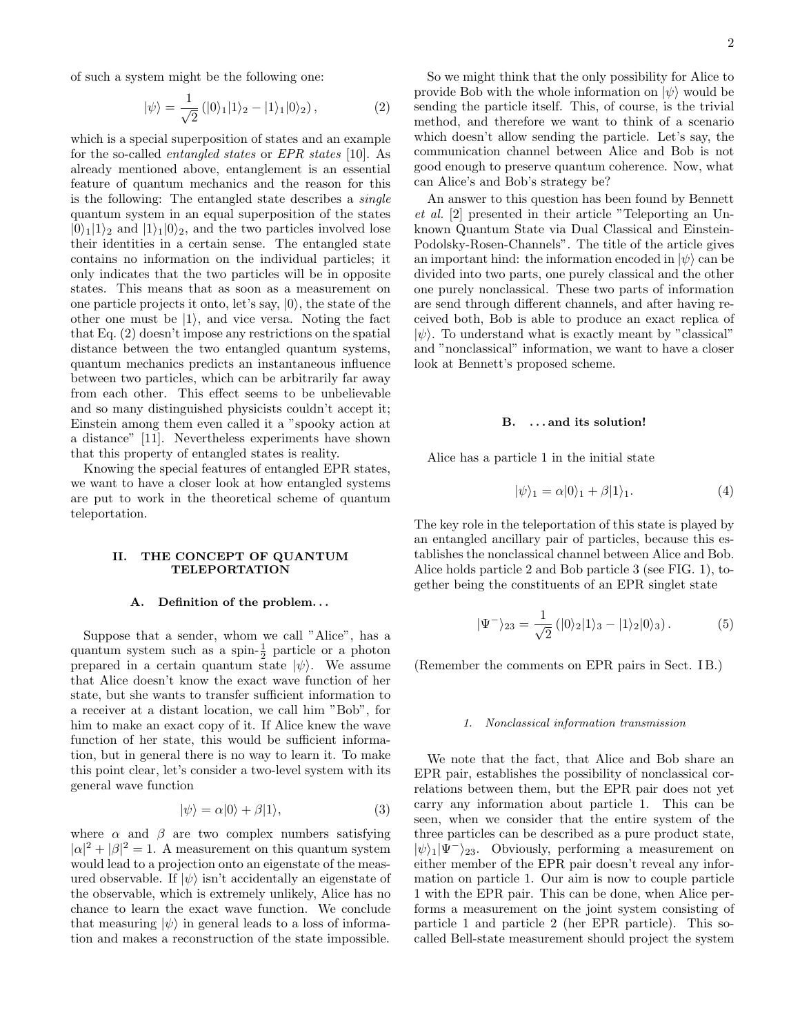of such a system might be the following one:

$$
|\psi\rangle = \frac{1}{\sqrt{2}} (|0\rangle_1 |1\rangle_2 - |1\rangle_1 |0\rangle_2), \qquad (2)
$$

which is a special superposition of states and an example for the so-called entangled states or EPR states [10]. As already mentioned above, entanglement is an essential feature of quantum mechanics and the reason for this is the following: The entangled state describes a single quantum system in an equal superposition of the states  $|0\rangle_1|1\rangle_2$  and  $|1\rangle_1|0\rangle_2$ , and the two particles involved lose their identities in a certain sense. The entangled state contains no information on the individual particles; it only indicates that the two particles will be in opposite states. This means that as soon as a measurement on one particle projects it onto, let's say,  $|0\rangle$ , the state of the other one must be  $|1\rangle$ , and vice versa. Noting the fact that Eq. (2) doesn't impose any restrictions on the spatial distance between the two entangled quantum systems, quantum mechanics predicts an instantaneous influence between two particles, which can be arbitrarily far away from each other. This effect seems to be unbelievable and so many distinguished physicists couldn't accept it; Einstein among them even called it a "spooky action at a distance" [11]. Nevertheless experiments have shown that this property of entangled states is reality.

Knowing the special features of entangled EPR states, we want to have a closer look at how entangled systems are put to work in the theoretical scheme of quantum teleportation.

# II. THE CONCEPT OF QUANTUM TELEPORTATION

# A. Definition of the problem. . .

Suppose that a sender, whom we call "Alice", has a quantum system such as a spin- $\frac{1}{2}$  particle or a photon prepared in a certain quantum state  $|\psi\rangle$ . We assume that Alice doesn't know the exact wave function of her state, but she wants to transfer sufficient information to a receiver at a distant location, we call him "Bob", for him to make an exact copy of it. If Alice knew the wave function of her state, this would be sufficient information, but in general there is no way to learn it. To make this point clear, let's consider a two-level system with its general wave function

$$
|\psi\rangle = \alpha|0\rangle + \beta|1\rangle, \tag{3}
$$

where  $\alpha$  and  $\beta$  are two complex numbers satisfying  $|\alpha|^2 + |\beta|^2 = 1$ . A measurement on this quantum system would lead to a projection onto an eigenstate of the measured observable. If  $|\psi\rangle$  isn't accidentally an eigenstate of the observable, which is extremely unlikely, Alice has no chance to learn the exact wave function. We conclude that measuring  $|\psi\rangle$  in general leads to a loss of information and makes a reconstruction of the state impossible.

So we might think that the only possibility for Alice to provide Bob with the whole information on  $|\psi\rangle$  would be sending the particle itself. This, of course, is the trivial method, and therefore we want to think of a scenario which doesn't allow sending the particle. Let's say, the communication channel between Alice and Bob is not good enough to preserve quantum coherence. Now, what can Alice's and Bob's strategy be?

An answer to this question has been found by Bennett et al. [2] presented in their article "Teleporting an Unknown Quantum State via Dual Classical and Einstein-Podolsky-Rosen-Channels". The title of the article gives an important hind: the information encoded in  $|\psi\rangle$  can be divided into two parts, one purely classical and the other one purely nonclassical. These two parts of information are send through different channels, and after having received both, Bob is able to produce an exact replica of  $|\psi\rangle$ . To understand what is exactly meant by "classical" and "nonclassical" information, we want to have a closer look at Bennett's proposed scheme.

## B. . . . and its solution!

Alice has a particle 1 in the initial state

$$
|\psi\rangle_1 = \alpha|0\rangle_1 + \beta|1\rangle_1.
$$
 (4)

The key role in the teleportation of this state is played by an entangled ancillary pair of particles, because this establishes the nonclassical channel between Alice and Bob. Alice holds particle 2 and Bob particle 3 (see FIG. 1), together being the constituents of an EPR singlet state

$$
|\Psi^{-}\rangle_{23} = \frac{1}{\sqrt{2}} (|0\rangle_{2}|1\rangle_{3} - |1\rangle_{2}|0\rangle_{3}). \tag{5}
$$

(Remember the comments on EPR pairs in Sect. IB.)

#### 1. Nonclassical information transmission

We note that the fact, that Alice and Bob share an EPR pair, establishes the possibility of nonclassical correlations between them, but the EPR pair does not yet carry any information about particle 1. This can be seen, when we consider that the entire system of the three particles can be described as a pure product state,  $|\psi\rangle_1|\Psi^-\rangle_{23}$ . Obviously, performing a measurement on either member of the EPR pair doesn't reveal any information on particle 1. Our aim is now to couple particle 1 with the EPR pair. This can be done, when Alice performs a measurement on the joint system consisting of particle 1 and particle 2 (her EPR particle). This socalled Bell-state measurement should project the system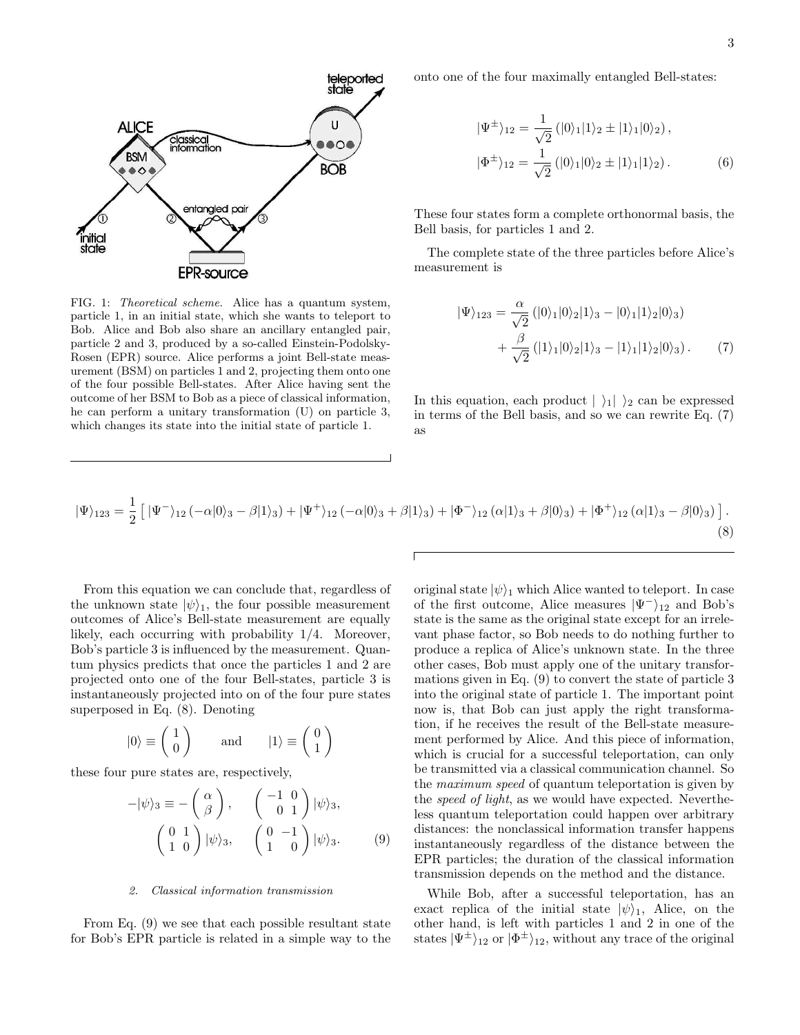

FIG. 1: Theoretical scheme. Alice has a quantum system, particle 1, in an initial state, which she wants to teleport to Bob. Alice and Bob also share an ancillary entangled pair, particle 2 and 3, produced by a so-called Einstein-Podolsky-Rosen (EPR) source. Alice performs a joint Bell-state measurement (BSM) on particles 1 and 2, projecting them onto one of the four possible Bell-states. After Alice having sent the outcome of her BSM to Bob as a piece of classical information, he can perform a unitary transformation (U) on particle 3, which changes its state into the initial state of particle 1.

onto one of the four maximally entangled Bell-states:

$$
|\Psi^{\pm}\rangle_{12} = \frac{1}{\sqrt{2}} (|0\rangle_{1}|1\rangle_{2} \pm |1\rangle_{1}|0\rangle_{2}),
$$
  

$$
|\Phi^{\pm}\rangle_{12} = \frac{1}{\sqrt{2}} (|0\rangle_{1}|0\rangle_{2} \pm |1\rangle_{1}|1\rangle_{2}).
$$
 (6)

These four states form a complete orthonormal basis, the Bell basis, for particles 1 and 2.

The complete state of the three particles before Alice's measurement is

$$
|\Psi\rangle_{123} = \frac{\alpha}{\sqrt{2}} (|0\rangle_1 |0\rangle_2 |1\rangle_3 - |0\rangle_1 |1\rangle_2 |0\rangle_3) + \frac{\beta}{\sqrt{2}} (|1\rangle_1 |0\rangle_2 |1\rangle_3 - |1\rangle_1 |1\rangle_2 |0\rangle_3).
$$
 (7)

In this equation, each product  $|\rangle_1|\rangle_2$  can be expressed in terms of the Bell basis, and so we can rewrite Eq. (7) as

$$
|\Psi\rangle_{123} = \frac{1}{2} \left[ |\Psi^-\rangle_{12} (-\alpha|0\rangle_3 - \beta|1\rangle_3) + |\Psi^+\rangle_{12} (-\alpha|0\rangle_3 + \beta|1\rangle_3) + |\Phi^-\rangle_{12} (\alpha|1\rangle_3 + \beta|0\rangle_3) + |\Phi^+\rangle_{12} (\alpha|1\rangle_3 - \beta|0\rangle_3) \right].
$$
\n(8)

From this equation we can conclude that, regardless of the unknown state  $|\psi\rangle_1$ , the four possible measurement outcomes of Alice's Bell-state measurement are equally likely, each occurring with probability 1/4. Moreover, Bob's particle 3 is influenced by the measurement. Quantum physics predicts that once the particles 1 and 2 are projected onto one of the four Bell-states, particle 3 is instantaneously projected into on of the four pure states superposed in Eq. (8). Denoting

$$
|0\rangle \equiv \left(\begin{array}{c} 1 \\ 0 \end{array}\right) \qquad \text{and} \qquad |1\rangle \equiv \left(\begin{array}{c} 0 \\ 1 \end{array}\right)
$$

 $\mathbb{R}^2$ 

these four pure states are, respectively,

$$
-|\psi\rangle_{3} \equiv -\begin{pmatrix} \alpha \\ \beta \end{pmatrix}, \quad \begin{pmatrix} -1 & 0 \\ 0 & 1 \end{pmatrix} |\psi\rangle_{3},
$$

$$
\begin{pmatrix} 0 & 1 \\ 1 & 0 \end{pmatrix} |\psi\rangle_{3}, \quad \begin{pmatrix} 0 & -1 \\ 1 & 0 \end{pmatrix} |\psi\rangle_{3}. \quad (9)
$$

#### 2. Classical information transmission

From Eq. (9) we see that each possible resultant state for Bob's EPR particle is related in a simple way to the original state  $|\psi\rangle_1$  which Alice wanted to teleport. In case of the first outcome, Alice measures  $|\Psi^-\rangle_{12}$  and Bob's state is the same as the original state except for an irrelevant phase factor, so Bob needs to do nothing further to produce a replica of Alice's unknown state. In the three other cases, Bob must apply one of the unitary transformations given in Eq. (9) to convert the state of particle 3 into the original state of particle 1. The important point now is, that Bob can just apply the right transformation, if he receives the result of the Bell-state measurement performed by Alice. And this piece of information, which is crucial for a successful teleportation, can only be transmitted via a classical communication channel. So the maximum speed of quantum teleportation is given by the *speed of light*, as we would have expected. Nevertheless quantum teleportation could happen over arbitrary distances: the nonclassical information transfer happens instantaneously regardless of the distance between the EPR particles; the duration of the classical information transmission depends on the method and the distance.

While Bob, after a successful teleportation, has an exact replica of the initial state  $|\psi\rangle_1$ , Alice, on the other hand, is left with particles 1 and 2 in one of the states  $|\Psi^{\pm}\rangle_{12}$  or  $|\Phi^{\pm}\rangle_{12}$ , without any trace of the original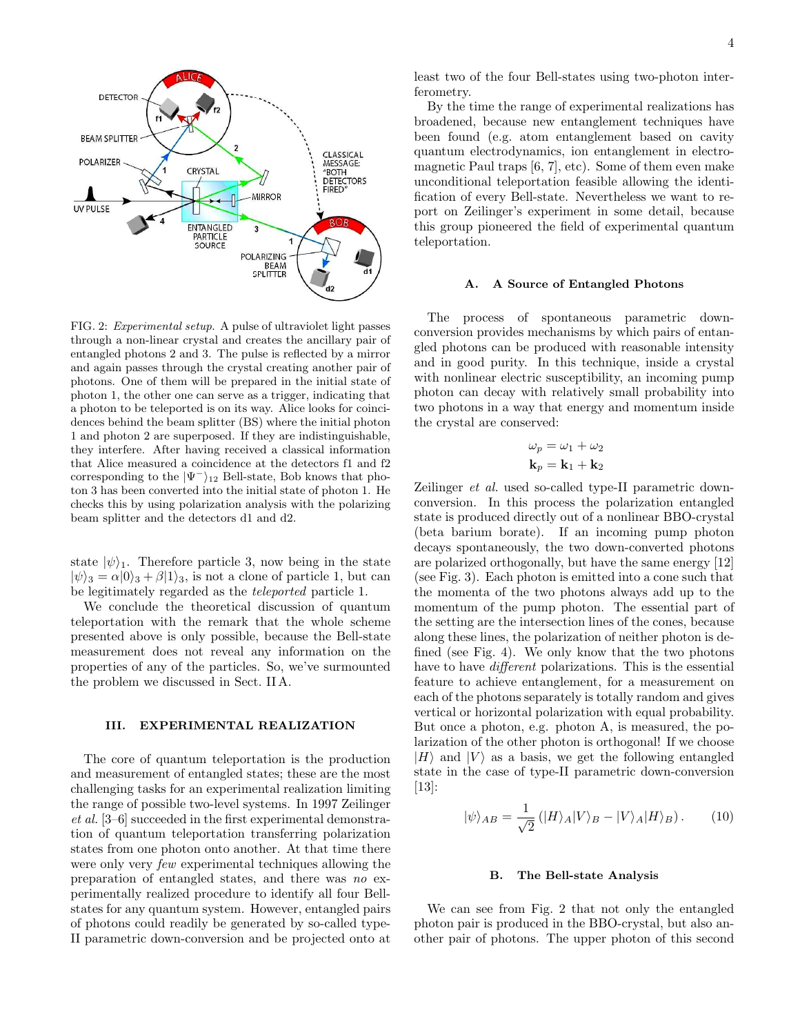

FIG. 2: Experimental setup. A pulse of ultraviolet light passes through a non-linear crystal and creates the ancillary pair of entangled photons 2 and 3. The pulse is reflected by a mirror and again passes through the crystal creating another pair of photons. One of them will be prepared in the initial state of photon 1, the other one can serve as a trigger, indicating that a photon to be teleported is on its way. Alice looks for coincidences behind the beam splitter (BS) where the initial photon 1 and photon 2 are superposed. If they are indistinguishable, they interfere. After having received a classical information that Alice measured a coincidence at the detectors f1 and f2 corresponding to the  $|\Psi^-\rangle_{12}$  Bell-state, Bob knows that photon 3 has been converted into the initial state of photon 1. He checks this by using polarization analysis with the polarizing beam splitter and the detectors d1 and d2.

state  $|\psi\rangle_1$ . Therefore particle 3, now being in the state  $|\psi\rangle_3 = \alpha|0\rangle_3 + \beta|1\rangle_3$ , is not a clone of particle 1, but can be legitimately regarded as the teleported particle 1.

We conclude the theoretical discussion of quantum teleportation with the remark that the whole scheme presented above is only possible, because the Bell-state measurement does not reveal any information on the properties of any of the particles. So, we've surmounted the problem we discussed in Sect. II A.

# III. EXPERIMENTAL REALIZATION

The core of quantum teleportation is the production and measurement of entangled states; these are the most challenging tasks for an experimental realization limiting the range of possible two-level systems. In 1997 Zeilinger et al. [3–6] succeeded in the first experimental demonstration of quantum teleportation transferring polarization states from one photon onto another. At that time there were only very few experimental techniques allowing the preparation of entangled states, and there was no experimentally realized procedure to identify all four Bellstates for any quantum system. However, entangled pairs of photons could readily be generated by so-called type-II parametric down-conversion and be projected onto at

least two of the four Bell-states using two-photon interferometry.

By the time the range of experimental realizations has broadened, because new entanglement techniques have been found (e.g. atom entanglement based on cavity quantum electrodynamics, ion entanglement in electromagnetic Paul traps [6, 7], etc). Some of them even make unconditional teleportation feasible allowing the identification of every Bell-state. Nevertheless we want to report on Zeilinger's experiment in some detail, because this group pioneered the field of experimental quantum teleportation.

### A. A Source of Entangled Photons

The process of spontaneous parametric downconversion provides mechanisms by which pairs of entangled photons can be produced with reasonable intensity and in good purity. In this technique, inside a crystal with nonlinear electric susceptibility, an incoming pump photon can decay with relatively small probability into two photons in a way that energy and momentum inside the crystal are conserved:

$$
\omega_p = \omega_1 + \omega_2
$$

$$
\mathbf{k}_p = \mathbf{k}_1 + \mathbf{k}_2
$$

Zeilinger et al. used so-called type-II parametric downconversion. In this process the polarization entangled state is produced directly out of a nonlinear BBO-crystal (beta barium borate). If an incoming pump photon decays spontaneously, the two down-converted photons are polarized orthogonally, but have the same energy [12] (see Fig. 3). Each photon is emitted into a cone such that the momenta of the two photons always add up to the momentum of the pump photon. The essential part of the setting are the intersection lines of the cones, because along these lines, the polarization of neither photon is defined (see Fig. 4). We only know that the two photons have to have different polarizations. This is the essential feature to achieve entanglement, for a measurement on each of the photons separately is totally random and gives vertical or horizontal polarization with equal probability. But once a photon, e.g. photon A, is measured, the polarization of the other photon is orthogonal! If we choose  $|H\rangle$  and  $|V\rangle$  as a basis, we get the following entangled state in the case of type-II parametric down-conversion [13]:

$$
|\psi\rangle_{AB} = \frac{1}{\sqrt{2}} (|H\rangle_A |V\rangle_B - |V\rangle_A |H\rangle_B). \tag{10}
$$

## B. The Bell-state Analysis

We can see from Fig. 2 that not only the entangled photon pair is produced in the BBO-crystal, but also another pair of photons. The upper photon of this second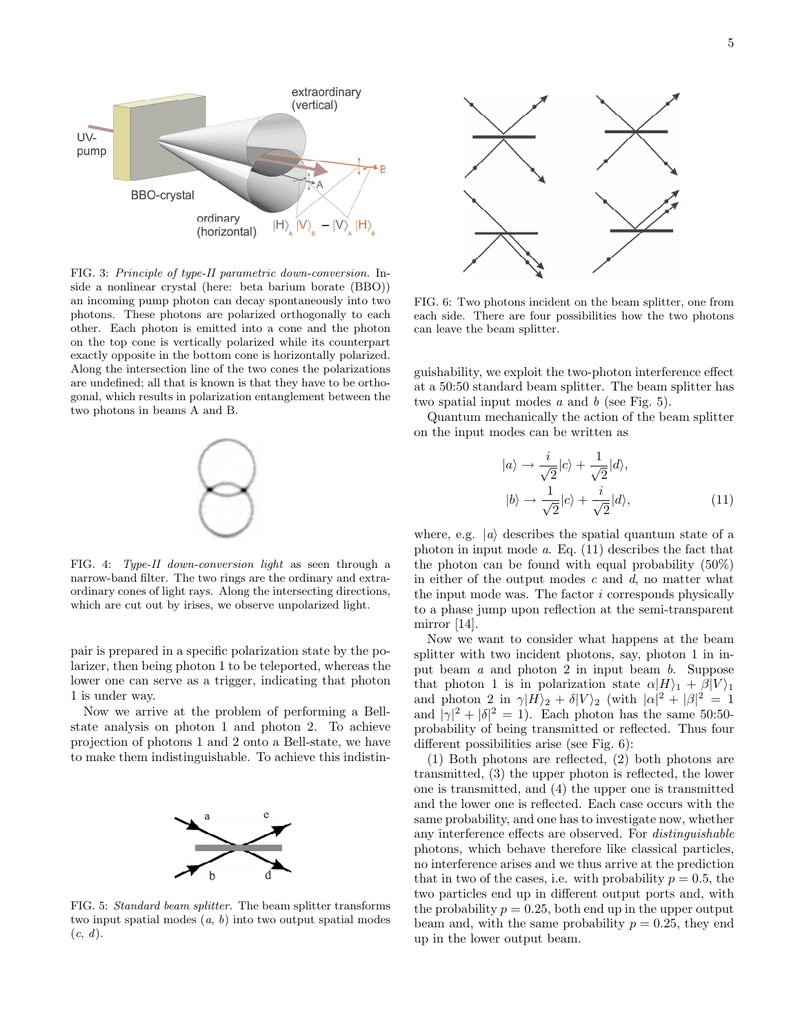

FIG. 3: Principle of type-II parametric down-conversion. Inside a nonlinear crystal (here: beta barium borate (BBO)) an incoming pump photon can decay spontaneously into two photons. These photons are polarized orthogonally to each other. Each photon is emitted into a cone and the photon on the top cone is vertically polarized while its counterpart exactly opposite in the bottom cone is horizontally polarized. Along the intersection line of the two cones the polarizations are undefined; all that is known is that they have to be orthogonal, which results in polarization entanglement between the two photons in beams A and B.



FIG. 4: Type-II down-conversion light as seen through a narrow-band filter. The two rings are the ordinary and extraordinary cones of light rays. Along the intersecting directions, which are cut out by irises, we observe unpolarized light.

pair is prepared in a specific polarization state by the polarizer, then being photon 1 to be teleported, whereas the lower one can serve as a trigger, indicating that photon 1 is under way.

Now we arrive at the problem of performing a Bellstate analysis on photon 1 and photon 2. To achieve projection of photons 1 and 2 onto a Bell-state, we have to make them indistinguishable. To achieve this indistin-



FIG. 5: Standard beam splitter. The beam splitter transforms two input spatial modes  $(a, b)$  into two output spatial modes  $(c, d)$ .



FIG. 6: Two photons incident on the beam splitter, one from each side. There are four possibilities how the two photons can leave the beam splitter.

guishability, we exploit the two-photon interference effect at a 50:50 standard beam splitter. The beam splitter has two spatial input modes  $a$  and  $b$  (see Fig. 5).

Quantum mechanically the action of the beam splitter on the input modes can be written as

$$
|a\rangle \rightarrow \frac{i}{\sqrt{2}}|c\rangle + \frac{1}{\sqrt{2}}|d\rangle,
$$
  

$$
|b\rangle \rightarrow \frac{1}{\sqrt{2}}|c\rangle + \frac{i}{\sqrt{2}}|d\rangle,
$$
 (11)

where, e.g.  $|a\rangle$  describes the spatial quantum state of a photon in input mode a. Eq. (11) describes the fact that the photon can be found with equal probability (50%) in either of the output modes  $c$  and  $d$ , no matter what the input mode was. The factor i corresponds physically to a phase jump upon reflection at the semi-transparent mirror [14].

Now we want to consider what happens at the beam splitter with two incident photons, say, photon 1 in input beam a and photon 2 in input beam b. Suppose that photon 1 is in polarization state  $\alpha|H\rangle_1 + \beta|V\rangle_1$ and photon 2 in  $\gamma |H\rangle_2 + \delta |V\rangle_2$  (with  $|\alpha|^2 + |\beta|^2 = 1$ and  $|\gamma|^2 + |\delta|^2 = 1$ ). Each photon has the same 50:50probability of being transmitted or reflected. Thus four different possibilities arise (see Fig. 6):

(1) Both photons are reflected, (2) both photons are transmitted, (3) the upper photon is reflected, the lower one is transmitted, and (4) the upper one is transmitted and the lower one is reflected. Each case occurs with the same probability, and one has to investigate now, whether any interference effects are observed. For distinguishable photons, which behave therefore like classical particles, no interference arises and we thus arrive at the prediction that in two of the cases, i.e. with probability  $p = 0.5$ , the two particles end up in different output ports and, with the probability  $p = 0.25$ , both end up in the upper output beam and, with the same probability  $p = 0.25$ , they end up in the lower output beam.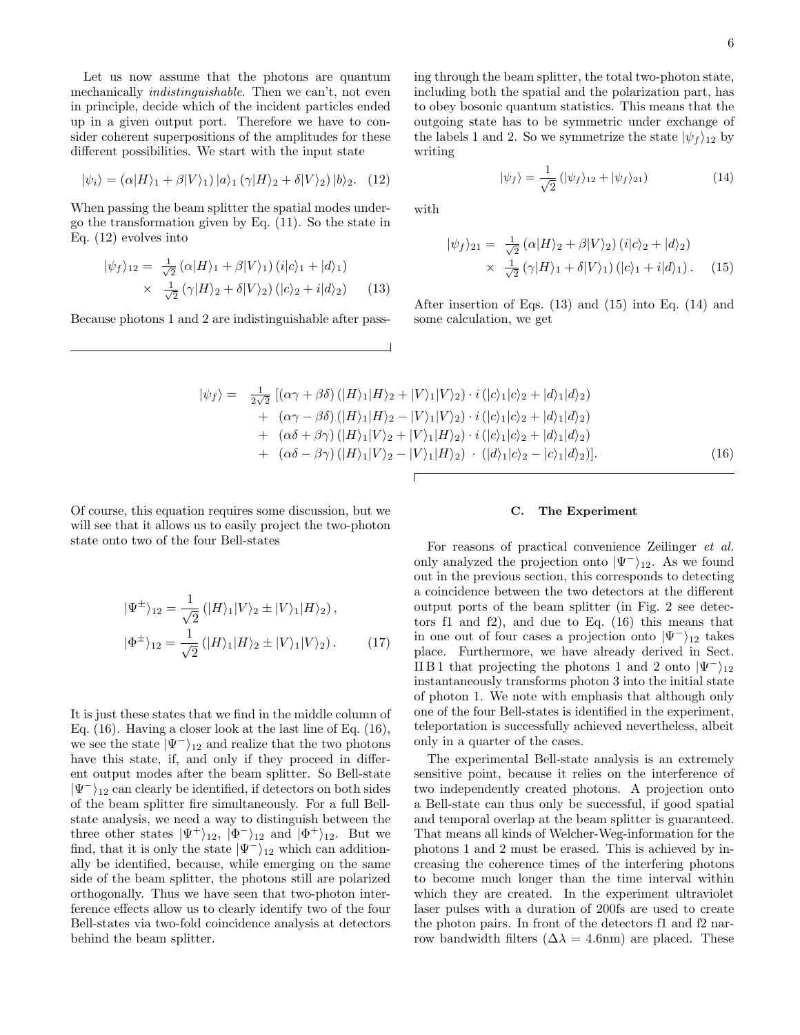Let us now assume that the photons are quantum mechanically indistinguishable. Then we can't, not even in principle, decide which of the incident particles ended up in a given output port. Therefore we have to consider coherent superpositions of the amplitudes for these different possibilities. We start with the input state

$$
|\psi_i\rangle = (\alpha|H\rangle_1 + \beta|V\rangle_1)|a\rangle_1(\gamma|H\rangle_2 + \delta|V\rangle_2)|b\rangle_2. (12)
$$

When passing the beam splitter the spatial modes undergo the transformation given by Eq. (11). So the state in Eq. (12) evolves into

$$
|\psi_f\rangle_{12} = \frac{1}{\sqrt{2}} \left( \alpha |H\rangle_1 + \beta |V\rangle_1 \right) (i|c\rangle_1 + |d\rangle_1)
$$
  
 
$$
\times \frac{1}{\sqrt{2}} \left( \gamma |H\rangle_2 + \delta |V\rangle_2 \right) (|c\rangle_2 + i|d\rangle_2)
$$
 (13)

Because photons 1 and 2 are indistinguishable after pass-

ing through the beam splitter, the total two-photon state, including both the spatial and the polarization part, has to obey bosonic quantum statistics. This means that the outgoing state has to be symmetric under exchange of the labels 1 and 2. So we symmetrize the state  $|\psi_f\rangle_{12}$  by writing

$$
|\psi_f\rangle = \frac{1}{\sqrt{2}} \left( |\psi_f\rangle_{12} + |\psi_f\rangle_{21} \right) \tag{14}
$$

with

$$
|\psi_f\rangle_{21} = \frac{1}{\sqrt{2}} \left( \alpha |H\rangle_2 + \beta |V\rangle_2 \right) (i|c\rangle_2 + |d\rangle_2)
$$
  
 
$$
\times \frac{1}{\sqrt{2}} \left( \gamma |H\rangle_1 + \delta |V\rangle_1 \right) (|c\rangle_1 + i|d\rangle_1).
$$
 (15)

After insertion of Eqs. (13) and (15) into Eq. (14) and some calculation, we get

$$
|\psi_{f}\rangle = \frac{1}{2\sqrt{2}} [(\alpha\gamma + \beta\delta) (|H\rangle_{1}|H\rangle_{2} + |V\rangle_{1}|V\rangle_{2}) \cdot i (|c\rangle_{1}|c\rangle_{2} + |d\rangle_{1}|d\rangle_{2} + (\alpha\gamma - \beta\delta) (|H\rangle_{1}|H\rangle_{2} - |V\rangle_{1}|V\rangle_{2}) \cdot i (|c\rangle_{1}|c\rangle_{2} + |d\rangle_{1}|d\rangle_{2} + (\alpha\delta + \beta\gamma) (|H\rangle_{1}|V\rangle_{2} + |V\rangle_{1}|H\rangle_{2}) \cdot i (|c\rangle_{1}|c\rangle_{2} + |d\rangle_{1}|d\rangle_{2} + (\alpha\delta - \beta\gamma) (|H\rangle_{1}|V\rangle_{2} - |V\rangle_{1}|H\rangle_{2}) \cdot (|d\rangle_{1}|c\rangle_{2} - |c\rangle_{1}|d\rangle_{2}).
$$
\n(16)

Of course, this equation requires some discussion, but we will see that it allows us to easily project the two-photon state onto two of the four Bell-states

$$
|\Psi^{\pm}\rangle_{12} = \frac{1}{\sqrt{2}} (|H\rangle_{1}|V\rangle_{2} \pm |V\rangle_{1}|H\rangle_{2}),
$$
  

$$
|\Phi^{\pm}\rangle_{12} = \frac{1}{\sqrt{2}} (|H\rangle_{1}|H\rangle_{2} \pm |V\rangle_{1}|V\rangle_{2}).
$$
 (17)

It is just these states that we find in the middle column of Eq. (16). Having a closer look at the last line of Eq. (16), we see the state  $|\Psi^{-}\rangle_{12}$  and realize that the two photons have this state, if, and only if they proceed in different output modes after the beam splitter. So Bell-state  $|\Psi^-\rangle_{12}$  can clearly be identified, if detectors on both sides of the beam splitter fire simultaneously. For a full Bellstate analysis, we need a way to distinguish between the three other states  $|\Psi^+\rangle_{12}$ ,  $|\Phi^-\rangle_{12}$  and  $|\Phi^+\rangle_{12}$ . But we find, that it is only the state  $|\Psi^{-}\rangle_{12}$  which can additionally be identified, because, while emerging on the same side of the beam splitter, the photons still are polarized orthogonally. Thus we have seen that two-photon interference effects allow us to clearly identify two of the four Bell-states via two-fold coincidence analysis at detectors behind the beam splitter.

## C. The Experiment

For reasons of practical convenience Zeilinger et al. only analyzed the projection onto  $|\Psi^-\rangle_{12}$ . As we found out in the previous section, this corresponds to detecting a coincidence between the two detectors at the different output ports of the beam splitter (in Fig. 2 see detectors f1 and f2), and due to Eq. (16) this means that in one out of four cases a projection onto  $|\Psi^-\rangle_{12}$  takes place. Furthermore, we have already derived in Sect. IIB1 that projecting the photons 1 and 2 onto  $|\Psi^-\rangle_{12}$ instantaneously transforms photon 3 into the initial state of photon 1. We note with emphasis that although only one of the four Bell-states is identified in the experiment, teleportation is successfully achieved nevertheless, albeit only in a quarter of the cases.

The experimental Bell-state analysis is an extremely sensitive point, because it relies on the interference of two independently created photons. A projection onto a Bell-state can thus only be successful, if good spatial and temporal overlap at the beam splitter is guaranteed. That means all kinds of Welcher-Weg-information for the photons 1 and 2 must be erased. This is achieved by increasing the coherence times of the interfering photons to become much longer than the time interval within which they are created. In the experiment ultraviolet laser pulses with a duration of 200fs are used to create the photon pairs. In front of the detectors f1 and f2 narrow bandwidth filters ( $\Delta \lambda = 4.6$ nm) are placed. These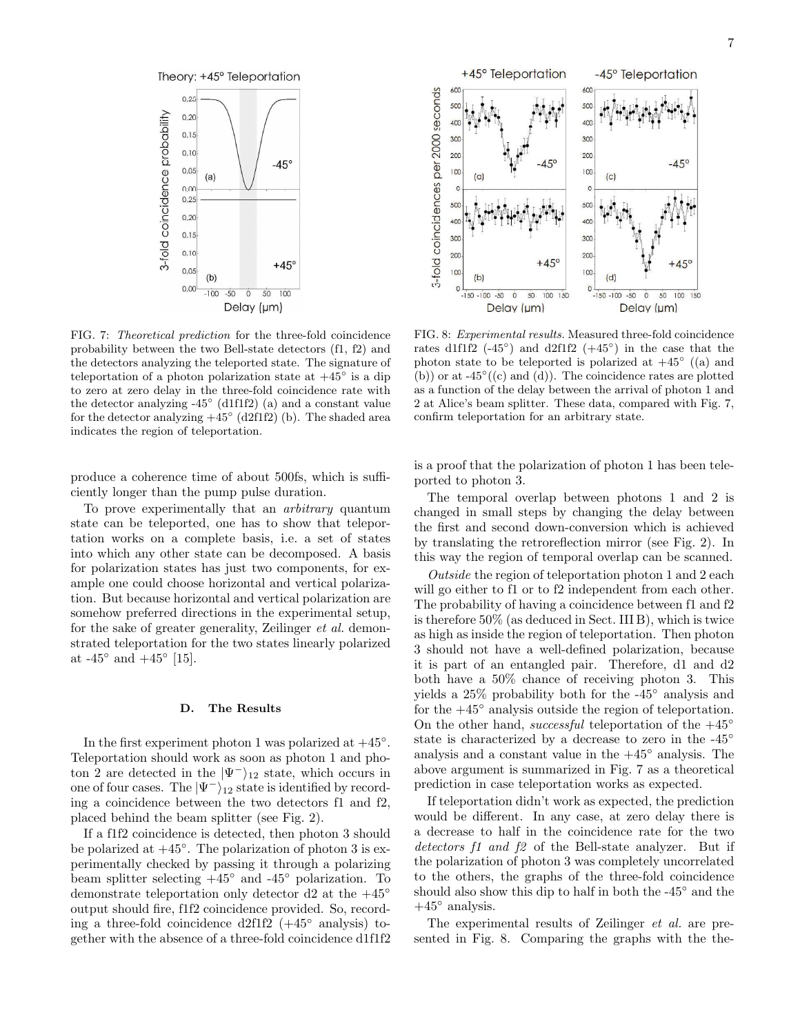

FIG. 7: Theoretical prediction for the three-fold coincidence probability between the two Bell-state detectors (f1, f2) and the detectors analyzing the teleported state. The signature of teleportation of a photon polarization state at  $+45^{\circ}$  is a dip to zero at zero delay in the three-fold coincidence rate with the detector analyzing -45◦ (d1f1f2) (a) and a constant value for the detector analyzing  $+45^{\circ}$  (d2f1f2) (b). The shaded area indicates the region of teleportation.

produce a coherence time of about 500fs, which is sufficiently longer than the pump pulse duration.

To prove experimentally that an arbitrary quantum state can be teleported, one has to show that teleportation works on a complete basis, i.e. a set of states into which any other state can be decomposed. A basis for polarization states has just two components, for example one could choose horizontal and vertical polarization. But because horizontal and vertical polarization are somehow preferred directions in the experimental setup, for the sake of greater generality, Zeilinger et al. demonstrated teleportation for the two states linearly polarized at  $-45^{\circ}$  and  $+45^{\circ}$  [15].

### D. The Results

In the first experiment photon 1 was polarized at  $+45°$ . Teleportation should work as soon as photon 1 and photon 2 are detected in the  $|\Psi^-\rangle_{12}$  state, which occurs in one of four cases. The  $|\Psi^{-}\rangle_{12}$  state is identified by recording a coincidence between the two detectors f1 and f2, placed behind the beam splitter (see Fig. 2).

If a f1f2 coincidence is detected, then photon 3 should be polarized at  $+45^\circ$ . The polarization of photon 3 is experimentally checked by passing it through a polarizing beam splitter selecting  $+45^{\circ}$  and  $-45^{\circ}$  polarization. To demonstrate teleportation only detector d2 at the  $+45°$ output should fire, f1f2 coincidence provided. So, recording a three-fold coincidence d2f1f2  $(+45^{\circ}$  analysis) together with the absence of a three-fold coincidence d1f1f2



FIG. 8: Experimental results. Measured three-fold coincidence rates d1f1f2  $(-45^{\circ})$  and d2f1f2  $(+45^{\circ})$  in the case that the photon state to be teleported is polarized at  $+45^{\circ}$  ((a) and  $(b)$  or at -45°  $((c)$  and  $(d)$ ). The coincidence rates are plotted as a function of the delay between the arrival of photon 1 and 2 at Alice's beam splitter. These data, compared with Fig. 7, confirm teleportation for an arbitrary state.

is a proof that the polarization of photon 1 has been teleported to photon 3.

The temporal overlap between photons 1 and 2 is changed in small steps by changing the delay between the first and second down-conversion which is achieved by translating the retroreflection mirror (see Fig. 2). In this way the region of temporal overlap can be scanned.

Outside the region of teleportation photon 1 and 2 each will go either to f1 or to f2 independent from each other. The probability of having a coincidence between f1 and f2 is therefore 50% (as deduced in Sect. III B), which is twice as high as inside the region of teleportation. Then photon 3 should not have a well-defined polarization, because it is part of an entangled pair. Therefore, d1 and d2 both have a 50% chance of receiving photon 3. This yields a 25% probability both for the -45◦ analysis and for the  $+45°$  analysis outside the region of teleportation. On the other hand, successful teleportation of the  $+45°$ state is characterized by a decrease to zero in the -45<sup>°</sup> analysis and a constant value in the  $+45°$  analysis. The above argument is summarized in Fig. 7 as a theoretical prediction in case teleportation works as expected.

If teleportation didn't work as expected, the prediction would be different. In any case, at zero delay there is a decrease to half in the coincidence rate for the two detectors f1 and f2 of the Bell-state analyzer. But if the polarization of photon 3 was completely uncorrelated to the others, the graphs of the three-fold coincidence should also show this dip to half in both the -45° and the  $+45^{\circ}$  analysis.

The experimental results of Zeilinger et al. are presented in Fig. 8. Comparing the graphs with the the